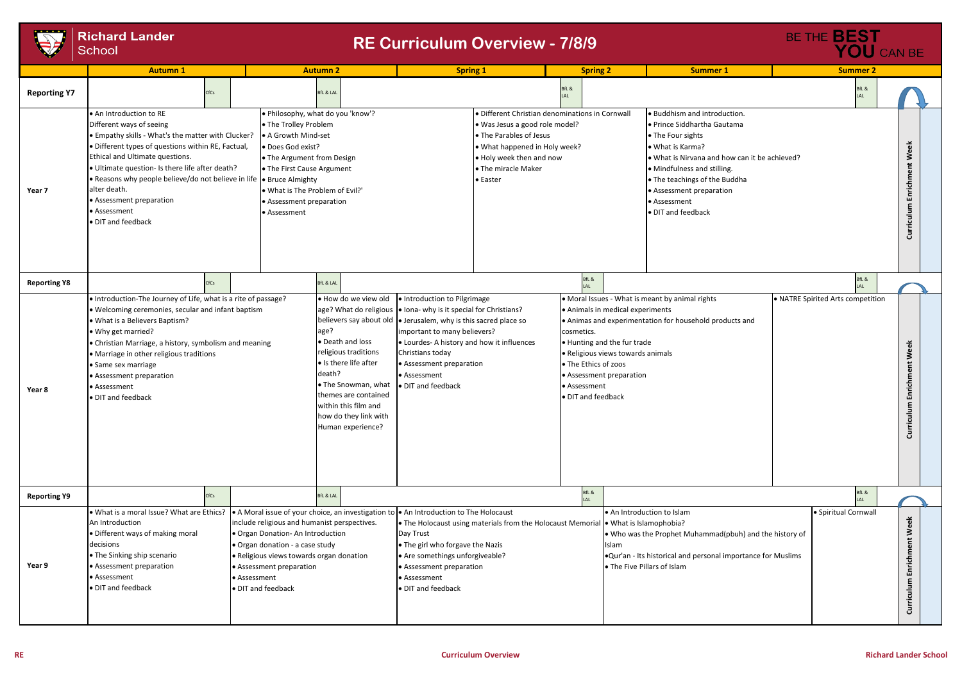|                     | <b>Autumn 1</b>                                                                                                                                                                                                                                                                                                                                                                                                 |      |                                                                                                                                                                                                                                   | <b>Autumn 2</b>                                                                                                                                                                                                                                                                                                                                                            |                                                                                                                                                    | <b>Spring 1</b>                                                                                                                                                                                                     |                                                                                                                                                                                                | <b>Spring 2</b>                                                                                            | <b>Summer 1</b>                                                                                                                                                                                                                                                                       | <b>Summer 2</b> |                     |
|---------------------|-----------------------------------------------------------------------------------------------------------------------------------------------------------------------------------------------------------------------------------------------------------------------------------------------------------------------------------------------------------------------------------------------------------------|------|-----------------------------------------------------------------------------------------------------------------------------------------------------------------------------------------------------------------------------------|----------------------------------------------------------------------------------------------------------------------------------------------------------------------------------------------------------------------------------------------------------------------------------------------------------------------------------------------------------------------------|----------------------------------------------------------------------------------------------------------------------------------------------------|---------------------------------------------------------------------------------------------------------------------------------------------------------------------------------------------------------------------|------------------------------------------------------------------------------------------------------------------------------------------------------------------------------------------------|------------------------------------------------------------------------------------------------------------|---------------------------------------------------------------------------------------------------------------------------------------------------------------------------------------------------------------------------------------------------------------------------------------|-----------------|---------------------|
| <b>Reporting Y7</b> |                                                                                                                                                                                                                                                                                                                                                                                                                 | CfCs |                                                                                                                                                                                                                                   | <b>BfL &amp; LAL</b>                                                                                                                                                                                                                                                                                                                                                       |                                                                                                                                                    |                                                                                                                                                                                                                     | BfL &                                                                                                                                                                                          |                                                                                                            |                                                                                                                                                                                                                                                                                       |                 | BfL &<br>LAL        |
| Year 7              | • An Introduction to RE<br>Different ways of seeing<br>. Empathy skills - What's the matter with Clucker?<br>· Different types of questions within RE, Factual,<br>Ethical and Ultimate questions.<br>· Ultimate question- Is there life after death?<br>• Reasons why people believe/do not believe in life • Bruce Almighty<br>alter death.<br>• Assessment preparation<br>• Assessment<br>· DIT and feedback |      | • The Trolley Problem<br>A Growth Mind-set<br>• Does God exist?<br>• The Argument from Design<br>• The First Cause Argument<br>. What is The Problem of Evil?'<br>• Assessment preparation<br>• Assessment                        | . Philosophy, what do you 'know'?                                                                                                                                                                                                                                                                                                                                          |                                                                                                                                                    | · Different Christian denominations in Cornwall<br>• Was Jesus a good role model?<br>• The Parables of Jesus<br>• What happened in Holy week?<br>• Holy week then and now<br>• The miracle Maker<br><b>•</b> Easter |                                                                                                                                                                                                |                                                                                                            | Buddhism and introduction.<br>● Prince Siddhartha Gautama<br>• The Four sights<br>• What is Karma?<br>. What is Nirvana and how can it be achieved?<br>• Mindfulness and stilling.<br>• The teachings of the Buddha<br>• Assessment preparation<br>• Assessment<br>· DIT and feedback |                 |                     |
| <b>Reporting Y8</b> |                                                                                                                                                                                                                                                                                                                                                                                                                 | CfCs |                                                                                                                                                                                                                                   | <b>BfL &amp; LAL</b>                                                                                                                                                                                                                                                                                                                                                       |                                                                                                                                                    |                                                                                                                                                                                                                     |                                                                                                                                                                                                | BfL &<br>I AI                                                                                              |                                                                                                                                                                                                                                                                                       |                 | BfL &<br>LAL        |
| Year 8              | . Introduction-The Journey of Life, what is a rite of passage?<br>. Welcoming ceremonies, secular and infant baptism<br>. What is a Believers Baptism?<br>• Why get married?<br>• Christian Marriage, a history, symbolism and meaning<br>• Marriage in other religious traditions<br>• Same sex marriage<br>• Assessment preparation<br>• Assessment<br>· DIT and feedback                                     |      |                                                                                                                                                                                                                                   | . How do we view old<br>age? What do religious   • Iona- why is it special for Christians?<br>believers say about old   Jerusalem, why is this sacred place so<br>age?<br>• Death and loss<br>religious traditions<br>• Is there life after<br>death?<br>• The Snowman, what<br>themes are contained<br>within this film and<br>how do they link with<br>Human experience? | . Introduction to Pilgrimage<br>important to many believers?<br>• Lourdes- A history and how it influences<br>• Assessment preparation             | cosmetics.                                                                                                                                                                                                          | • Animals in medical experiments<br>• Hunting and the fur trade<br>• Religious views towards animals<br>• The Ethics of zoos<br>• Assessment preparation<br>• Assessment<br>· DIT and feedback | • Moral Issues - What is meant by animal rights<br>• Animas and experimentation for household products and | • NATRE Spirited Arts competit                                                                                                                                                                                                                                                        |                 |                     |
| <b>Reporting Y9</b> |                                                                                                                                                                                                                                                                                                                                                                                                                 | CfCs |                                                                                                                                                                                                                                   | <b>BfL &amp; LAL</b>                                                                                                                                                                                                                                                                                                                                                       |                                                                                                                                                    |                                                                                                                                                                                                                     |                                                                                                                                                                                                | BfL &<br>LAL                                                                                               |                                                                                                                                                                                                                                                                                       |                 | BfL &<br>LAL        |
| Year 9              | . What is a moral Issue? What are Ethics?<br>An Introduction<br>• Different ways of making moral<br>decisions<br>• The Sinking ship scenario<br>• Assessment preparation<br>• Assessment<br>• DIT and feedback                                                                                                                                                                                                  |      | include religious and humanist perspectives.<br>. Organ Donation-An Introduction<br>• Organ donation - a case study<br>• Religious views towards organ donation<br>• Assessment preparation<br>• Assessment<br>· DIT and feedback | A Moral issue of your choice, an investigation to $\bullet$ An Introduction to The Holocaust                                                                                                                                                                                                                                                                               | Day Trust<br>. The girl who forgave the Nazis<br>• Are somethings unforgiveable?<br>• Assessment preparation<br>• Assessment<br>• DIT and feedback | • The Holocaust using materials from the Holocaust Memorial • What is Islamophobia?                                                                                                                                 |                                                                                                                                                                                                | Islam                                                                                                      | An Introduction to Islam<br>. Who was the Prophet Muhammad(pbuh) and the history of<br>Our'an - Its historical and personal importance for Muslims<br>• The Five Pillars of Islam                                                                                                     |                 | · Spiritual Cornwal |



## **Richard Lander**<br>School

### **RE Curriculum Overview - 7/8/9**

#### **RE Curriculum Overview Richard Lander School**